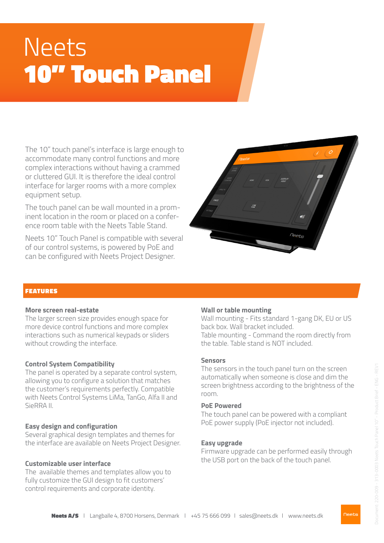# Neets 10" Touch Panel

The 10" touch panel's interface is large enough to accommodate many control functions and more complex interactions without having a crammed or cluttered GUI. It is therefore the ideal control interface for larger rooms with a more complex equipment setup.

The touch panel can be wall mounted in a prominent location in the room or placed on a conference room table with the Neets Table Stand.

Neets 10" Touch Panel is compatible with several of our control systems, is powered by PoE and can be configured with Neets Project Designer.



## FEATURES

#### **More screen real-estate**

The larger screen size provides enough space for more device control functions and more complex interactions such as numerical keypads or sliders without crowding the interface.

#### **Control System Compatibility**

The panel is operated by a separate control system, allowing you to configure a solution that matches the customer's requirements perfectly. Compatible with Neets Control Systems LiMa, TanGo, Alfa II and SieRRA II.

#### **Easy design and configuration**

Several graphical design templates and themes for the interface are available on Neets Project Designer.

# **Customizable user interface**

The available themes and templates allow you to fully customize the GUI design to fit customers' control requirements and corporate identity.

### **Wall or table mounting**

Wall mounting - Fits standard 1-gang DK, EU or US back box. Wall bracket included. Table mounting - Command the room directly from the table. Table stand is NOT included.

#### **Sensors**

The sensors in the touch panel turn on the screen automatically when someone is close and dim the screen brightness according to the brightness of the room.

### **PoE Powered**

The touch panel can be powered with a compliant PoE power supply (PoE injector not included).

# **Easy upgrade**

Firmware upgrade can be performed easily through the USB port on the back of the touch panel.